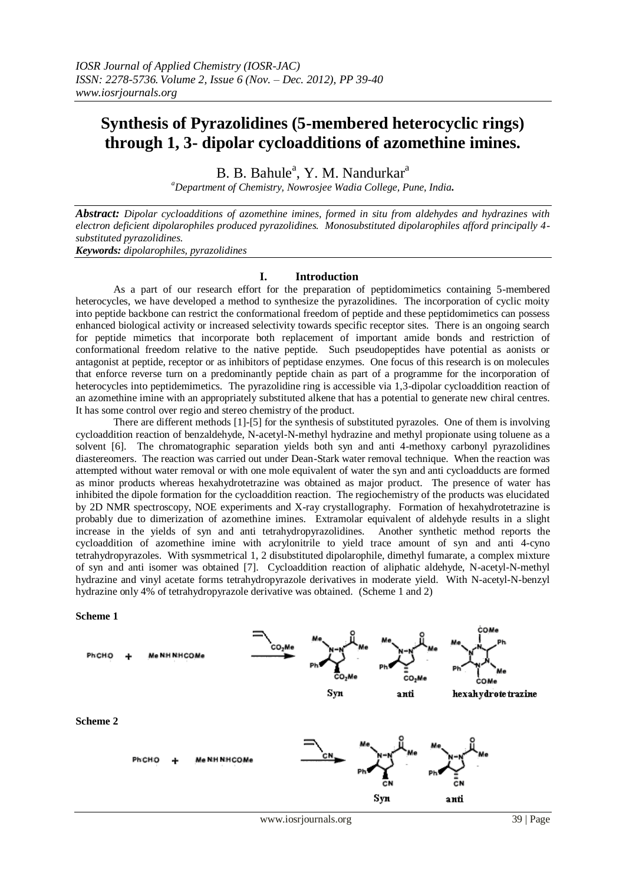# **Synthesis of Pyrazolidines (5-membered heterocyclic rings) through 1, 3- dipolar cycloadditions of azomethine imines.**

B. B. Bahule<sup>a</sup>, Y. M. Nandurkar<sup>a</sup>

*<sup>a</sup>Department of Chemistry, Nowrosjee Wadia College, Pune, India.*

*Abstract: Dipolar cycloadditions of azomethine imines, formed in situ from aldehydes and hydrazines with electron deficient dipolarophiles produced pyrazolidines. Monosubstituted dipolarophiles afford principally 4 substituted pyrazolidines.*

*Keywords: dipolarophiles, pyrazolidines*

# **I. Introduction**

As a part of our research effort for the preparation of peptidomimetics containing 5-membered heterocycles, we have developed a method to synthesize the pyrazolidines. The incorporation of cyclic moity into peptide backbone can restrict the conformational freedom of peptide and these peptidomimetics can possess enhanced biological activity or increased selectivity towards specific receptor sites. There is an ongoing search for peptide mimetics that incorporate both replacement of important amide bonds and restriction of conformational freedom relative to the native peptide. Such pseudopeptides have potential as aonists or antagonist at peptide, receptor or as inhibitors of peptidase enzymes. One focus of this research is on molecules that enforce reverse turn on a predominantly peptide chain as part of a programme for the incorporation of heterocycles into peptidemimetics. The pyrazolidine ring is accessible via 1,3-dipolar cycloaddition reaction of an azomethine imine with an appropriately substituted alkene that has a potential to generate new chiral centres. It has some control over regio and stereo chemistry of the product.

There are different methods [1]-[5] for the synthesis of substituted pyrazoles. One of them is involving cycloaddition reaction of benzaldehyde, N-acetyl-N-methyl hydrazine and methyl propionate using toluene as a solvent [6]. The chromatographic separation yields both syn and anti 4-methoxy carbonyl pyrazolidines diastereomers. The reaction was carried out under Dean-Stark water removal technique. When the reaction was attempted without water removal or with one mole equivalent of water the syn and anti cycloadducts are formed as minor products whereas hexahydrotetrazine was obtained as major product. The presence of water has inhibited the dipole formation for the cycloaddition reaction. The regiochemistry of the products was elucidated by 2D NMR spectroscopy, NOE experiments and X-ray crystallography. Formation of hexahydrotetrazine is probably due to dimerization of azomethine imines. Extramolar equivalent of aldehyde results in a slight increase in the yields of syn and anti tetrahydropyrazolidines. Another synthetic method reports the cycloaddition of azomethine imine with acrylonitrile to yield trace amount of syn and anti 4-cyno tetrahydropyrazoles. With sysmmetrical 1, 2 disubstituted dipolarophile, dimethyl fumarate, a complex mixture of syn and anti isomer was obtained [7]. Cycloaddition reaction of aliphatic aldehyde, N-acetyl-N-methyl hydrazine and vinyl acetate forms tetrahydropyrazole derivatives in moderate yield. With N-acetyl-N-benzyl hydrazine only 4% of tetrahydropyrazole derivative was obtained. (Scheme 1 and 2)

#### **Scheme 1**